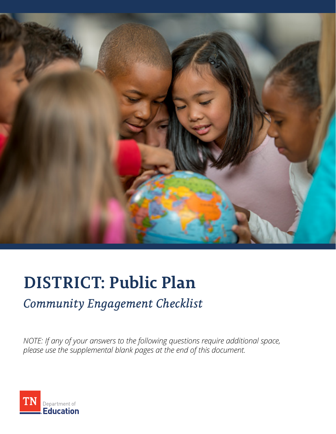

# **DISTRICT: Public Plan**

## *Community Engagement Checklist*

*NOTE: If any of your answers to the following questions require additional space, please use the supplemental blank pages at the end of this document.* 

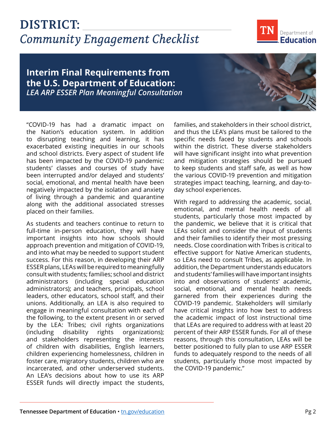## **DISTRICT:**  *Community Engagement Checklist*



#### **Interim Final Requirements from the U.S. Department of Education:**  *LEA ARP ESSER Plan Meaningful Consultation*

"COVID-19 has had a dramatic impact on the Nation's education system. In addition to disrupting teaching and learning, it has exacerbated existing inequities in our schools and school districts. Every aspect of student life has been impacted by the COVID-19 pandemic: students' classes and courses of study have been interrupted and/or delayed and students' social, emotional, and mental health have been negatively impacted by the isolation and anxiety of living through a pandemic and quarantine along with the additional associated stresses placed on their families.

As students and teachers continue to return to full-time in-person education, they will have important insights into how schools should approach prevention and mitigation of COVID-19, and into what may be needed to support student success. For this reason, in developing their ARP ESSER plans, LEAs will be required to meaningfully consult with students; families; school and district administrators (including special education administrators); and teachers, principals, school leaders, other educators, school staff, and their unions. Additionally, an LEA is also required to engage in meaningful consultation with each of the following, to the extent present in or served by the LEA: Tribes; civil rights organizations (including disability rights organizations); and stakeholders representing the interests of children with disabilities, English learners, children experiencing homelessness, children in foster care, migratory students, children who are incarcerated, and other underserved students. An LEA's decisions about how to use its ARP ESSER funds will directly impact the students,

families, and stakeholders in their school district, and thus the LEA's plans must be tailored to the specific needs faced by students and schools within the district. These diverse stakeholders will have significant insight into what prevention and mitigation strategies should be pursued to keep students and staff safe, as well as how the various COVID-19 prevention and mitigation strategies impact teaching, learning, and day-today school experiences.

With regard to addressing the academic, social, emotional, and mental health needs of all students, particularly those most impacted by the pandemic, we believe that it is critical that LEAs solicit and consider the input of students and their families to identify their most pressing needs. Close coordination with Tribes is critical to effective support for Native American students, so LEAs need to consult Tribes, as applicable. In addition, the Department understands educators and students' families will have important insights into and observations of students' academic, social, emotional, and mental health needs garnered from their experiences during the COVID-19 pandemic. Stakeholders will similarly have critical insights into how best to address the academic impact of lost instructional time that LEAs are required to address with at least 20 percent of their ARP ESSER funds. For all of these reasons, through this consultation, LEAs will be better positioned to fully plan to use ARP ESSER funds to adequately respond to the needs of all students, particularly those most impacted by the COVID-19 pandemic."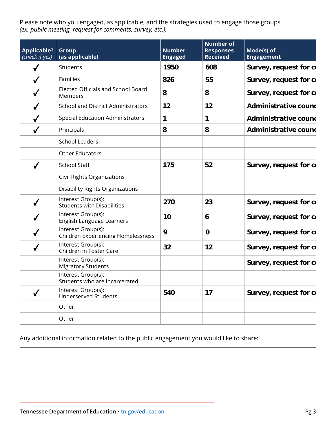Please note who you engaged, as applicable, and the strategies used to engage those groups *(ex. public meeting, request for comments, survey, etc.).*

| Applicable?   Group<br>(check if yes) | (as applicable)                                                 | <b>Number</b><br><b>Engaged</b> | <b>Number of</b><br><b>Responses</b><br><b>Received</b> | Mode(s) of<br><b>Engagement</b> |
|---------------------------------------|-----------------------------------------------------------------|---------------------------------|---------------------------------------------------------|---------------------------------|
|                                       | Students                                                        | 1950                            | 608                                                     | Survey, request for co          |
|                                       | Families                                                        | 826                             | 55                                                      | Survey, request for co          |
|                                       | Elected Officials and School Board<br>Members                   | 8                               | 8                                                       | Survey, request for co          |
|                                       | <b>School and District Administrators</b>                       | 12                              | 12                                                      | Administrative cound            |
|                                       | <b>Special Education Administrators</b>                         |                                 |                                                         | Administrative cound            |
|                                       | Principals                                                      | 8                               | 8                                                       | <b>Administrative cound</b>     |
|                                       | <b>School Leaders</b>                                           |                                 |                                                         |                                 |
|                                       | Other Educators                                                 |                                 |                                                         |                                 |
|                                       | School Staff                                                    | 175                             | 52                                                      | Survey, request for co          |
|                                       | Civil Rights Organizations                                      |                                 |                                                         |                                 |
|                                       | <b>Disability Rights Organizations</b>                          |                                 |                                                         |                                 |
|                                       | Interest Group(s):<br><b>Students with Disabilities</b>         | 270                             | 23                                                      | Survey, request for co          |
|                                       | Interest Group(s):<br>English Language Learners                 | 10                              | 6                                                       | Survey, request for co          |
|                                       | Interest Group(s):<br><b>Children Experiencing Homelessness</b> | 9                               | $\mathbf 0$                                             | Survey, request for co          |
|                                       | Interest Group(s):<br>Children in Foster Care                   | 32                              | 12                                                      | Survey, request for co          |
|                                       | Interest Group(s):<br><b>Migratory Students</b>                 |                                 |                                                         | Survey, request for co          |
|                                       | Interest Group(s):<br>Students who are Incarcerated             |                                 |                                                         |                                 |
|                                       | Interest Group(s):<br><b>Underserved Students</b>               | 540                             | 17                                                      | Survey, request for co          |
|                                       | Other:                                                          |                                 |                                                         |                                 |
|                                       | Other:                                                          |                                 |                                                         |                                 |

Any additional information related to the public engagement you would like to share: